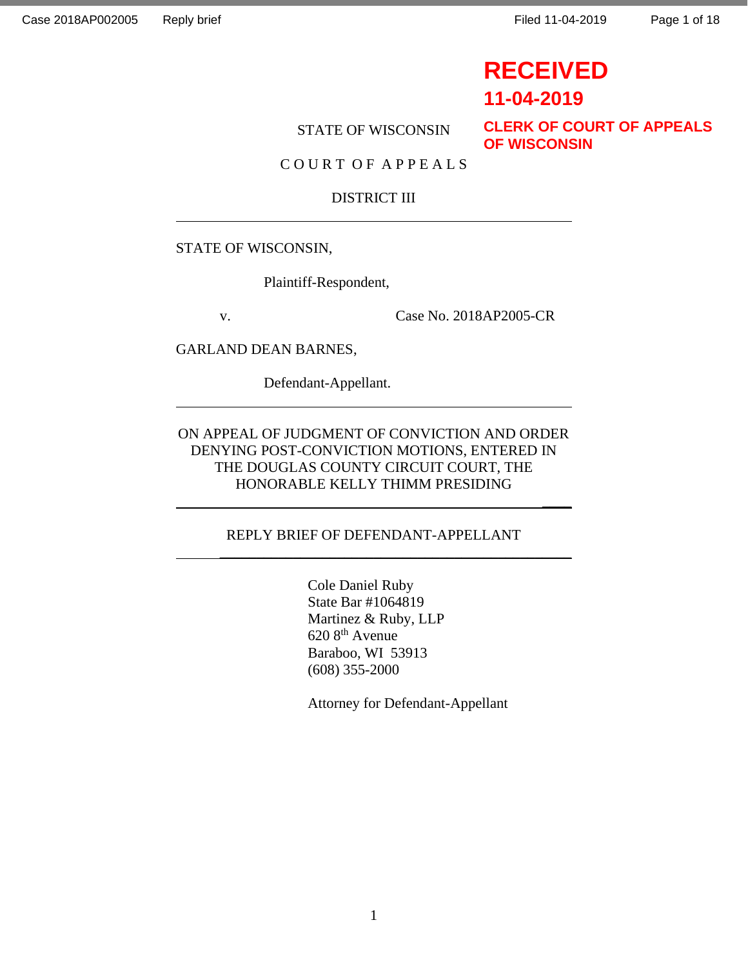# **RECEIVED**

 $\overline{\phantom{a}}$ 

# **11-04-2019**

# STATE OF WISCONSIN

**CLERK OF COURT OF APPEALS OF WISCONSIN**

### C O U R T O F A P P E A L S

### DISTRICT III

#### STATE OF WISCONSIN,

Plaintiff-Respondent,

v. Case No. 2018AP2005-CR

GARLAND DEAN BARNES,

Defendant-Appellant.

# ON APPEAL OF JUDGMENT OF CONVICTION AND ORDER DENYING POST-CONVICTION MOTIONS, ENTERED IN THE DOUGLAS COUNTY CIRCUIT COURT, THE HONORABLE KELLY THIMM PRESIDING

#### REPLY BRIEF OF DEFENDANT-APPELLANT

\_\_\_\_\_\_\_\_\_\_\_\_\_\_\_\_\_\_\_\_\_\_\_\_\_\_\_\_\_\_\_\_\_\_\_\_\_\_\_\_\_\_\_\_\_\_\_\_

Cole Daniel Ruby State Bar #1064819 Martinez & Ruby, LLP 620 8th Avenue Baraboo, WI 53913 (608) 355-2000

Attorney for Defendant-Appellant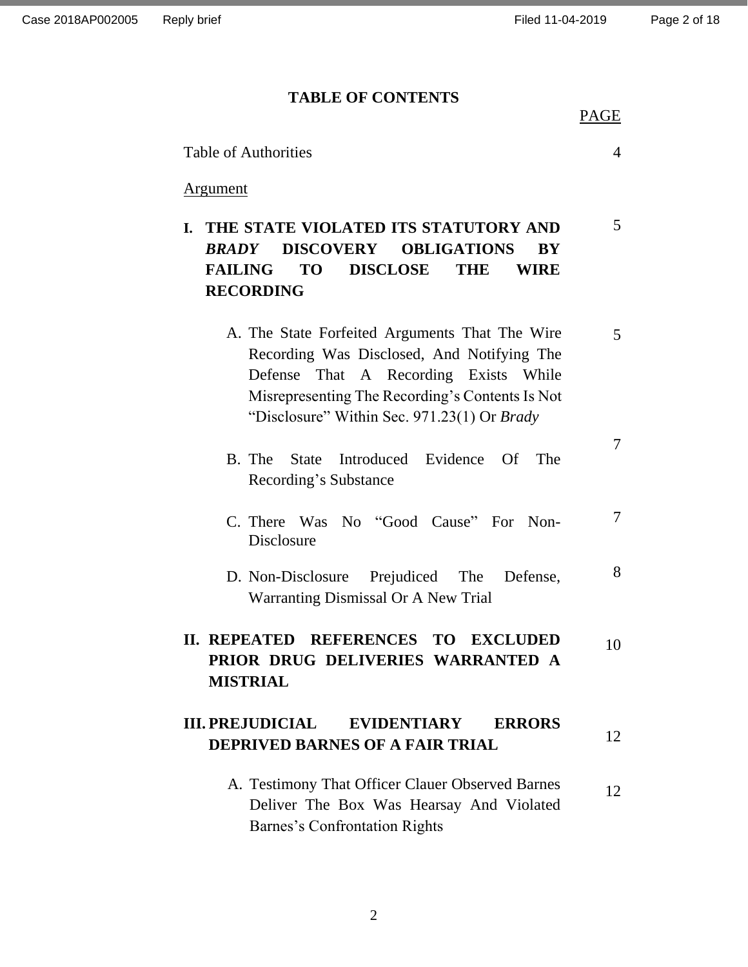#### **TABLE OF CONTENTS**

PAGE

5

7

7

| <b>Table of Authorities</b> |  |  |
|-----------------------------|--|--|
|-----------------------------|--|--|

#### Argument

**I. THE STATE VIOLATED ITS STATUTORY AND**  *BRADY* **DISCOVERY OBLIGATIONS BY FAILING TO DISCLOSE THE WIRE RECORDING**

- A. The State Forfeited Arguments That The Wire Recording Was Disclosed, And Notifying The Defense That A Recording Exists While Misrepresenting The Recording's Contents Is Not "Disclosure" Within Sec. 971.23(1) Or *Brady* 5
- B. The State Introduced Evidence Of The Recording's Substance
- C. There Was No "Good Cause" For Non-Disclosure
- D. Non-Disclosure Prejudiced The Defense, Warranting Dismissal Or A New Trial 8

#### **II. REPEATED REFERENCES TO EXCLUDED PRIOR DRUG DELIVERIES WARRANTED A MISTRIAL** 10

#### **III. PREJUDICIAL EVIDENTIARY ERRORS DEPRIVED BARNES OF A FAIR TRIAL** 12

A. Testimony That Officer Clauer Observed Barnes Deliver The Box Was Hearsay And Violated Barnes's Confrontation Rights 12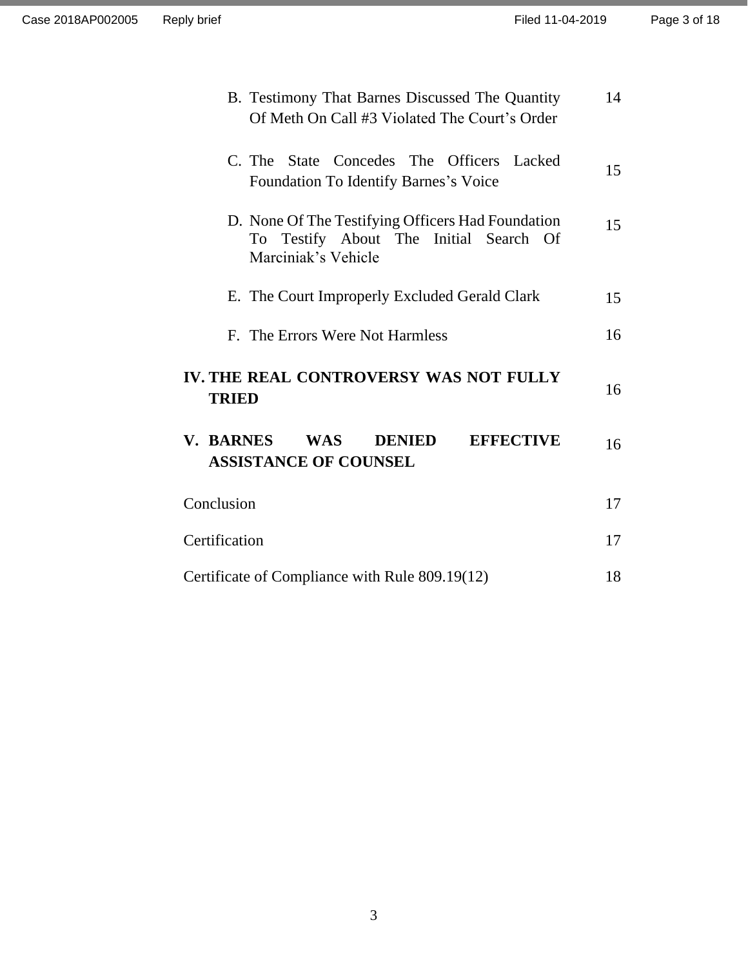| B. Testimony That Barnes Discussed The Quantity<br>Of Meth On Call #3 Violated The Court's Order                      | 14 |
|-----------------------------------------------------------------------------------------------------------------------|----|
| C. The State Concedes The Officers Lacked<br><b>Foundation To Identify Barnes's Voice</b>                             | 15 |
| D. None Of The Testifying Officers Had Foundation<br>Testify About The Initial Search Of<br>To<br>Marciniak's Vehicle | 15 |
| E. The Court Improperly Excluded Gerald Clark                                                                         | 15 |
| F. The Errors Were Not Harmless                                                                                       | 16 |
| IV. THE REAL CONTROVERSY WAS NOT FULLY<br><b>TRIED</b>                                                                | 16 |
| V. BARNES<br><b>DENIED</b><br><b>EFFECTIVE</b><br><b>WAS</b><br><b>ASSISTANCE OF COUNSEL</b>                          | 16 |
| Conclusion                                                                                                            | 17 |
| Certification                                                                                                         | 17 |
| Certificate of Compliance with Rule 809.19(12)                                                                        | 18 |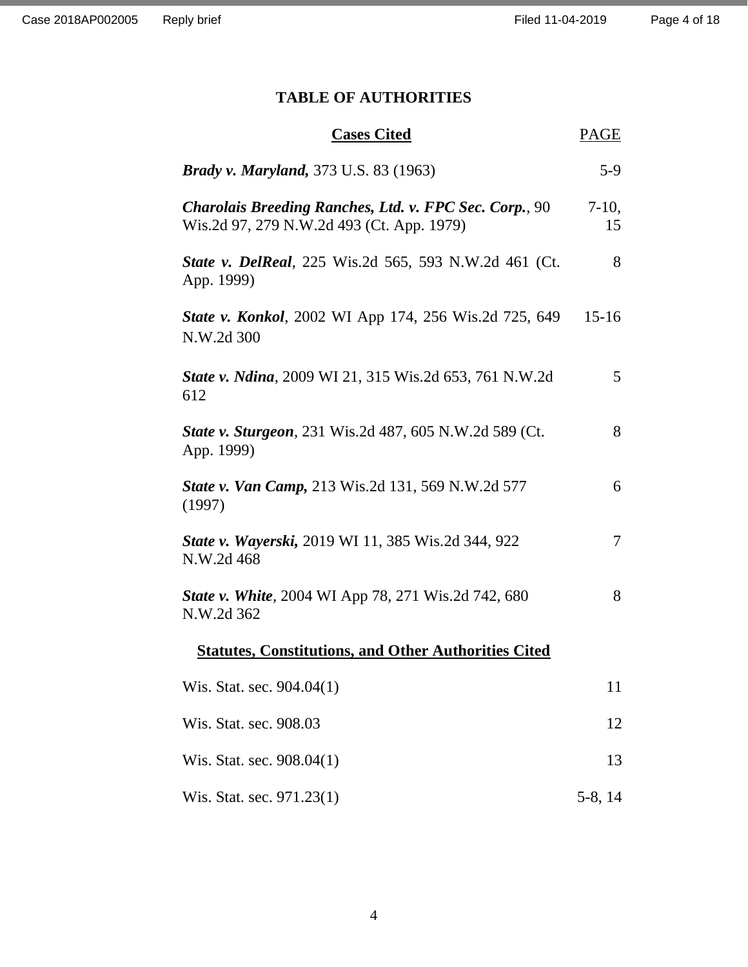# **TABLE OF AUTHORITIES**

| <b>Cases Cited</b>                                                                                         |         |
|------------------------------------------------------------------------------------------------------------|---------|
| <b>Brady v. Maryland, 373 U.S. 83 (1963)</b>                                                               | $5-9$   |
| <b>Charolais Breeding Ranches, Ltd. v. FPC Sec. Corp., 90</b><br>Wis.2d 97, 279 N.W.2d 493 (Ct. App. 1979) |         |
| <b>State v. DelReal</b> , 225 Wis.2d 565, 593 N.W.2d 461 (Ct.<br>App. 1999)                                | 8       |
| <b>State v. Konkol</b> , 2002 WI App 174, 256 Wis.2d 725, 649<br>N.W.2d 300                                | $15-16$ |
| <b>State v. Ndina</b> , 2009 WI 21, 315 Wis.2d 653, 761 N.W.2d<br>612                                      | 5       |
| State v. Sturgeon, 231 Wis.2d 487, 605 N.W.2d 589 (Ct.<br>App. 1999)                                       | 8       |
| <b>State v. Van Camp, 213 Wis.2d 131, 569 N.W.2d 577</b><br>(1997)                                         | 6       |
| <b>State v. Wayerski, 2019 WI 11, 385 Wis.2d 344, 922</b><br>N.W.2d 468                                    |         |
| <b>State v. White, 2004 WI App 78, 271 Wis.2d 742, 680</b><br>N.W.2d 362                                   | 8       |
| <b>Statutes, Constitutions, and Other Authorities Cited</b>                                                |         |
| Wis. Stat. sec. $904.04(1)$                                                                                | 11      |
| Wis. Stat. sec. 908.03                                                                                     |         |
| Wis. Stat. sec. 908.04(1)                                                                                  |         |
| Wis. Stat. sec. 971.23(1)                                                                                  |         |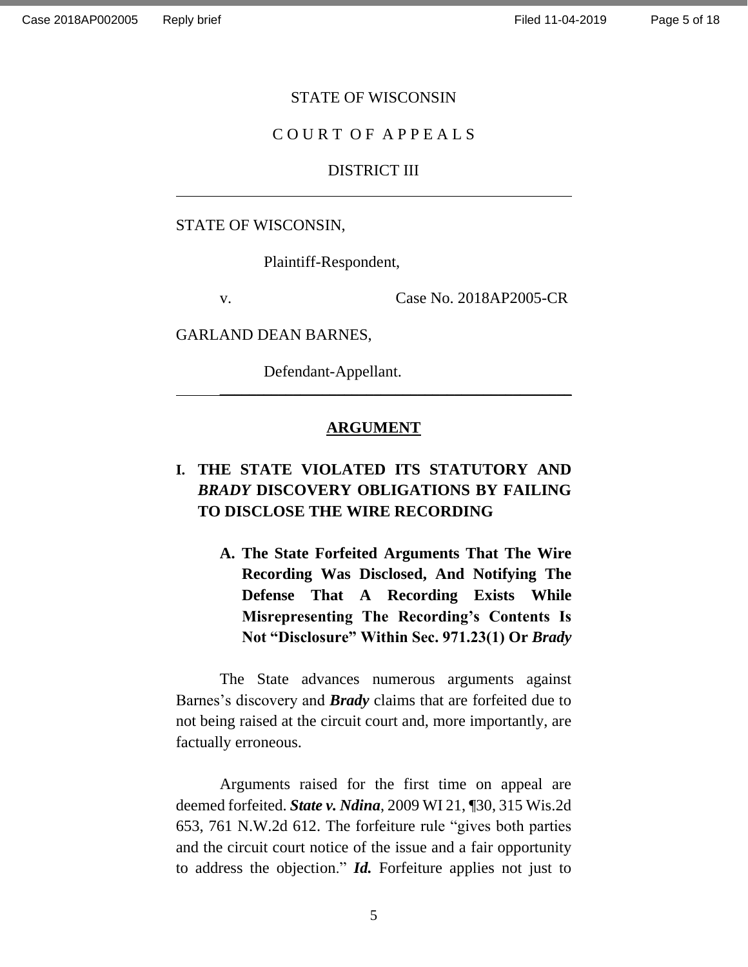#### STATE OF WISCONSIN

### C O U R T O F A P P E A L S

# DISTRICT III

STATE OF WISCONSIN,

Plaintiff-Respondent,

v. Case No. 2018AP2005-CR

GARLAND DEAN BARNES,

Defendant-Appellant.

#### **ARGUMENT**

\_\_\_\_\_\_\_\_\_\_\_\_\_\_\_\_\_\_\_\_\_\_\_\_\_\_\_\_\_\_\_\_\_\_\_\_\_\_\_\_\_\_\_\_\_\_\_\_

# **I. THE STATE VIOLATED ITS STATUTORY AND**  *BRADY* **DISCOVERY OBLIGATIONS BY FAILING TO DISCLOSE THE WIRE RECORDING**

**A. The State Forfeited Arguments That The Wire Recording Was Disclosed, And Notifying The Defense That A Recording Exists While Misrepresenting The Recording's Contents Is Not "Disclosure" Within Sec. 971.23(1) Or** *Brady*

The State advances numerous arguments against Barnes's discovery and *Brady* claims that are forfeited due to not being raised at the circuit court and, more importantly, are factually erroneous.

Arguments raised for the first time on appeal are deemed forfeited. *State v. Ndina*, 2009 WI 21, ¶30, 315 Wis.2d 653, 761 N.W.2d 612. The forfeiture rule "gives both parties and the circuit court notice of the issue and a fair opportunity to address the objection." *Id.* Forfeiture applies not just to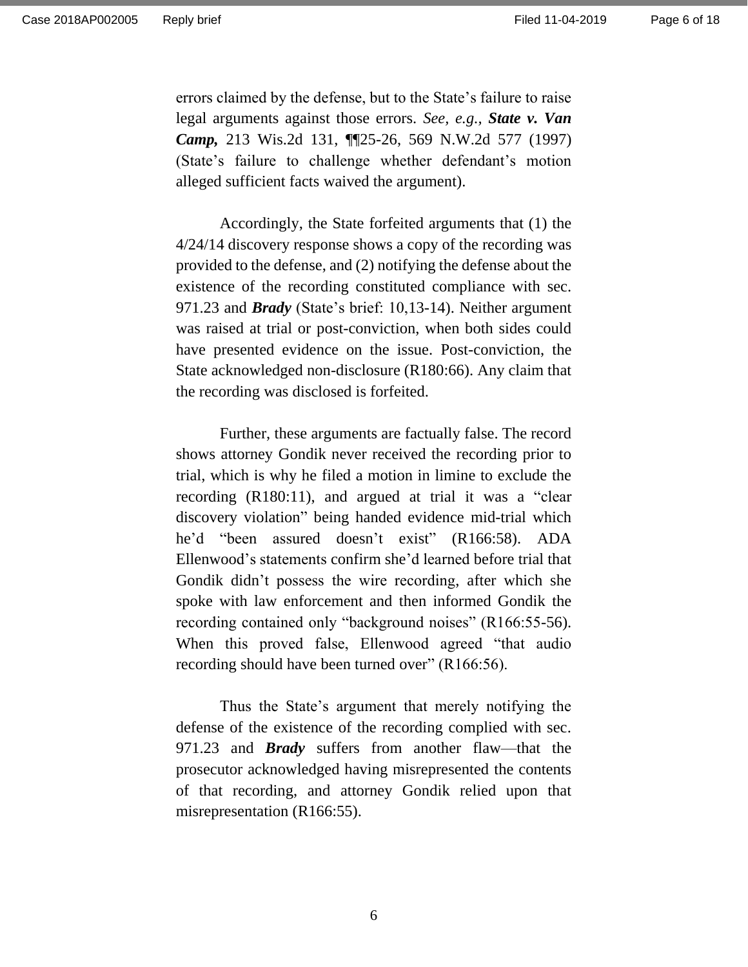errors claimed by the defense, but to the State's failure to raise legal arguments against those errors. *See, e.g., State v. Van Camp,* 213 Wis.2d 131, ¶¶25-26, 569 N.W.2d 577 (1997) (State's failure to challenge whether defendant's motion alleged sufficient facts waived the argument).

Accordingly, the State forfeited arguments that (1) the 4/24/14 discovery response shows a copy of the recording was provided to the defense, and (2) notifying the defense about the existence of the recording constituted compliance with sec. 971.23 and *Brady* (State's brief: 10,13-14). Neither argument was raised at trial or post-conviction, when both sides could have presented evidence on the issue. Post-conviction, the State acknowledged non-disclosure (R180:66). Any claim that the recording was disclosed is forfeited.

Further, these arguments are factually false. The record shows attorney Gondik never received the recording prior to trial, which is why he filed a motion in limine to exclude the recording (R180:11), and argued at trial it was a "clear discovery violation" being handed evidence mid-trial which he'd "been assured doesn't exist" (R166:58). ADA Ellenwood's statements confirm she'd learned before trial that Gondik didn't possess the wire recording, after which she spoke with law enforcement and then informed Gondik the recording contained only "background noises" (R166:55-56). When this proved false, Ellenwood agreed "that audio recording should have been turned over" (R166:56).

Thus the State's argument that merely notifying the defense of the existence of the recording complied with sec. 971.23 and *Brady* suffers from another flaw—that the prosecutor acknowledged having misrepresented the contents of that recording, and attorney Gondik relied upon that misrepresentation (R166:55).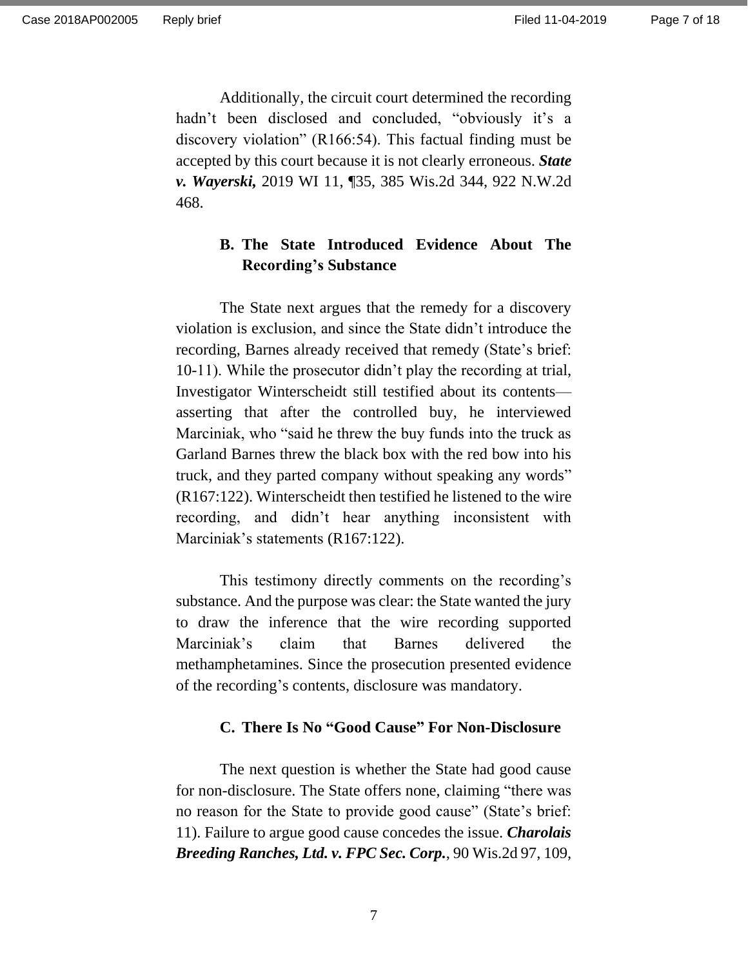Additionally, the circuit court determined the recording hadn't been disclosed and concluded, "obviously it's a discovery violation" (R166:54). This factual finding must be accepted by this court because it is not clearly erroneous. *State v. Wayerski,* 2019 WI 11, ¶35, 385 Wis.2d 344, 922 N.W.2d 468.

# **B. The State Introduced Evidence About The Recording's Substance**

The State next argues that the remedy for a discovery violation is exclusion, and since the State didn't introduce the recording, Barnes already received that remedy (State's brief: 10-11). While the prosecutor didn't play the recording at trial, Investigator Winterscheidt still testified about its contents asserting that after the controlled buy, he interviewed Marciniak, who "said he threw the buy funds into the truck as Garland Barnes threw the black box with the red bow into his truck, and they parted company without speaking any words" (R167:122). Winterscheidt then testified he listened to the wire recording, and didn't hear anything inconsistent with Marciniak's statements (R167:122).

This testimony directly comments on the recording's substance. And the purpose was clear: the State wanted the jury to draw the inference that the wire recording supported Marciniak's claim that Barnes delivered the methamphetamines. Since the prosecution presented evidence of the recording's contents, disclosure was mandatory.

## **C. There Is No "Good Cause" For Non-Disclosure**

The next question is whether the State had good cause for non-disclosure. The State offers none, claiming "there was no reason for the State to provide good cause" (State's brief: 11). Failure to argue good cause concedes the issue. *Charolais Breeding Ranches, Ltd. v. FPC Sec. Corp.*, 90 Wis.2d 97, 109,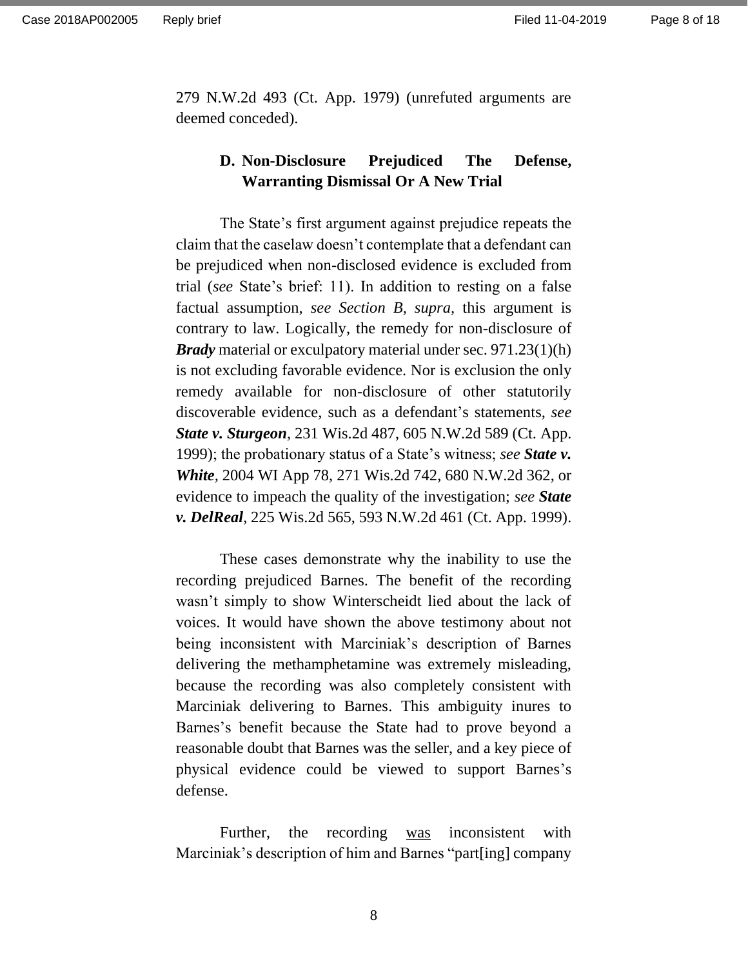279 N.W.2d 493 (Ct. App. 1979) (unrefuted arguments are deemed conceded).

# **D. Non-Disclosure Prejudiced The Defense, Warranting Dismissal Or A New Trial**

The State's first argument against prejudice repeats the claim that the caselaw doesn't contemplate that a defendant can be prejudiced when non-disclosed evidence is excluded from trial (*see* State's brief: 11). In addition to resting on a false factual assumption, *see Section B, supra,* this argument is contrary to law. Logically, the remedy for non-disclosure of *Brady* material or exculpatory material under sec. 971.23(1)(h) is not excluding favorable evidence. Nor is exclusion the only remedy available for non-disclosure of other statutorily discoverable evidence, such as a defendant's statements, *see State v. Sturgeon*, 231 Wis.2d 487, 605 N.W.2d 589 (Ct. App. 1999); the probationary status of a State's witness; *see State v. White,* 2004 WI App 78, 271 Wis.2d 742, 680 N.W.2d 362, or evidence to impeach the quality of the investigation; *see State v. DelReal*, 225 Wis.2d 565, 593 N.W.2d 461 (Ct. App. 1999).

These cases demonstrate why the inability to use the recording prejudiced Barnes. The benefit of the recording wasn't simply to show Winterscheidt lied about the lack of voices. It would have shown the above testimony about not being inconsistent with Marciniak's description of Barnes delivering the methamphetamine was extremely misleading, because the recording was also completely consistent with Marciniak delivering to Barnes. This ambiguity inures to Barnes's benefit because the State had to prove beyond a reasonable doubt that Barnes was the seller, and a key piece of physical evidence could be viewed to support Barnes's defense.

Further, the recording was inconsistent with Marciniak's description of him and Barnes "part[ing] company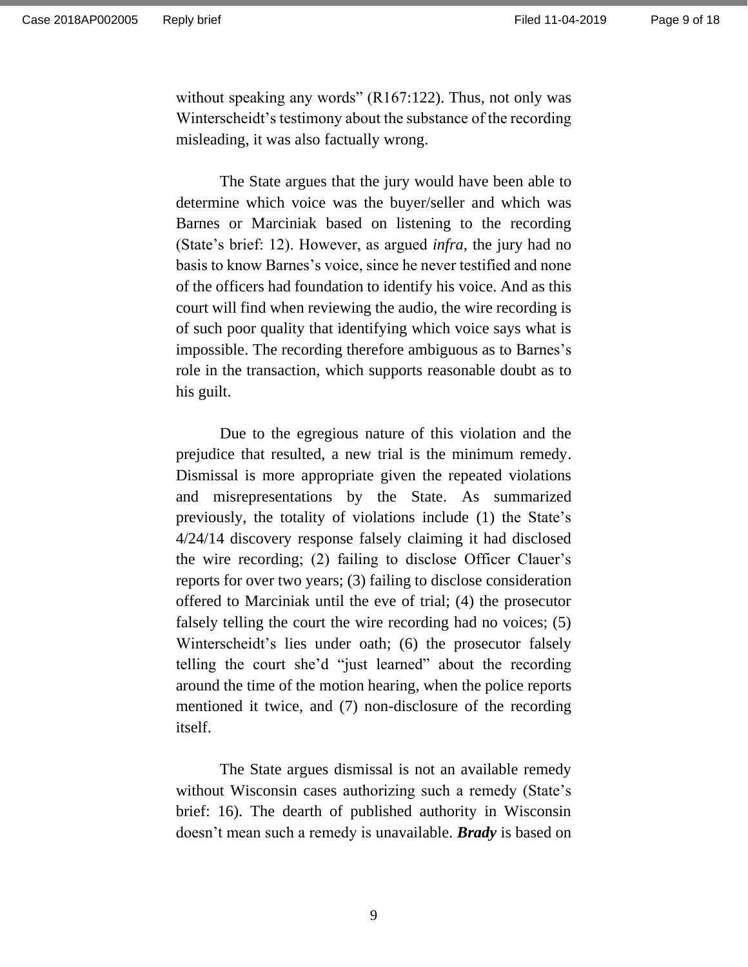without speaking any words" (R167:122). Thus, not only was Winterscheidt's testimony about the substance of the recording misleading, it was also factually wrong.

The State argues that the jury would have been able to determine which voice was the buyer/seller and which was Barnes or Marciniak based on listening to the recording (State's brief: 12). However, as argued *infra,* the jury had no basis to know Barnes's voice, since he never testified and none of the officers had foundation to identify his voice. And as this court will find when reviewing the audio, the wire recording is of such poor quality that identifying which voice says what is impossible. The recording therefore ambiguous as to Barnes's role in the transaction, which supports reasonable doubt as to his guilt.

Due to the egregious nature of this violation and the prejudice that resulted, a new trial is the minimum remedy. Dismissal is more appropriate given the repeated violations and misrepresentations by the State. As summarized previously, the totality of violations include (1) the State's 4/24/14 discovery response falsely claiming it had disclosed the wire recording; (2) failing to disclose Officer Clauer's reports for over two years; (3) failing to disclose consideration offered to Marciniak until the eve of trial; (4) the prosecutor falsely telling the court the wire recording had no voices; (5) Winterscheidt's lies under oath; (6) the prosecutor falsely telling the court she'd "just learned" about the recording around the time of the motion hearing, when the police reports mentioned it twice, and (7) non-disclosure of the recording itself.

The State argues dismissal is not an available remedy without Wisconsin cases authorizing such a remedy (State's brief: 16). The dearth of published authority in Wisconsin doesn't mean such a remedy is unavailable. *Brady* is based on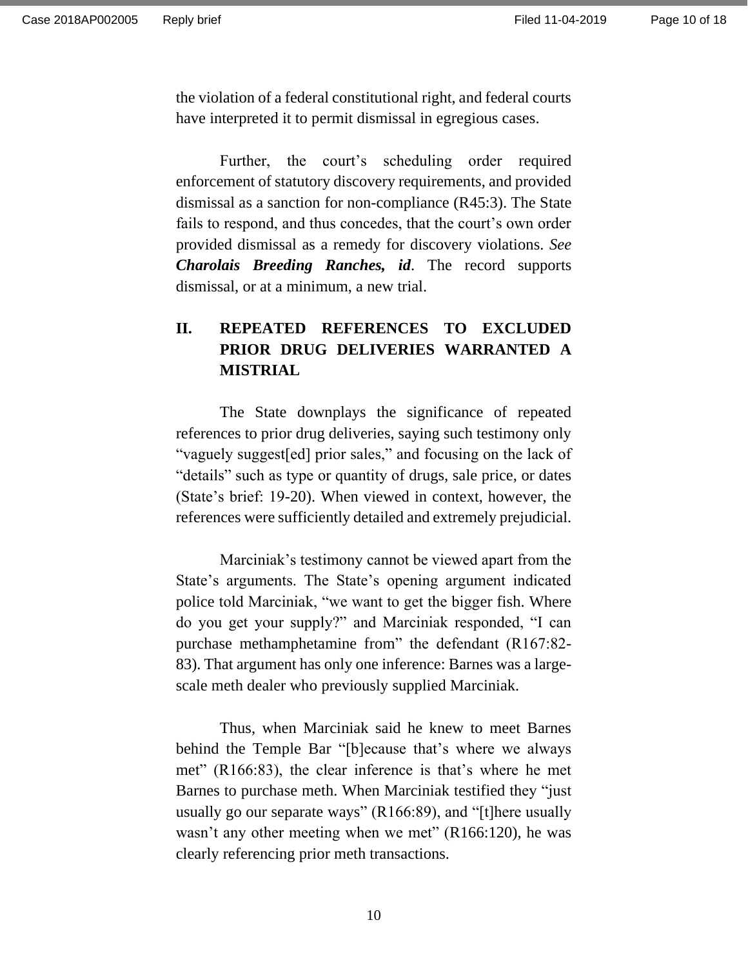the violation of a federal constitutional right, and federal courts have interpreted it to permit dismissal in egregious cases.

Further, the court's scheduling order required enforcement of statutory discovery requirements, and provided dismissal as a sanction for non-compliance (R45:3). The State fails to respond, and thus concedes, that the court's own order provided dismissal as a remedy for discovery violations. *See Charolais Breeding Ranches, id*. The record supports dismissal, or at a minimum, a new trial.

# **II. REPEATED REFERENCES TO EXCLUDED PRIOR DRUG DELIVERIES WARRANTED A MISTRIAL**

The State downplays the significance of repeated references to prior drug deliveries, saying such testimony only "vaguely suggest[ed] prior sales," and focusing on the lack of "details" such as type or quantity of drugs, sale price, or dates (State's brief: 19-20). When viewed in context, however, the references were sufficiently detailed and extremely prejudicial.

Marciniak's testimony cannot be viewed apart from the State's arguments. The State's opening argument indicated police told Marciniak, "we want to get the bigger fish. Where do you get your supply?" and Marciniak responded, "I can purchase methamphetamine from" the defendant (R167:82- 83). That argument has only one inference: Barnes was a largescale meth dealer who previously supplied Marciniak.

Thus, when Marciniak said he knew to meet Barnes behind the Temple Bar "[b]ecause that's where we always met" (R166:83), the clear inference is that's where he met Barnes to purchase meth. When Marciniak testified they "just usually go our separate ways" (R166:89), and "[t]here usually wasn't any other meeting when we met" (R166:120), he was clearly referencing prior meth transactions.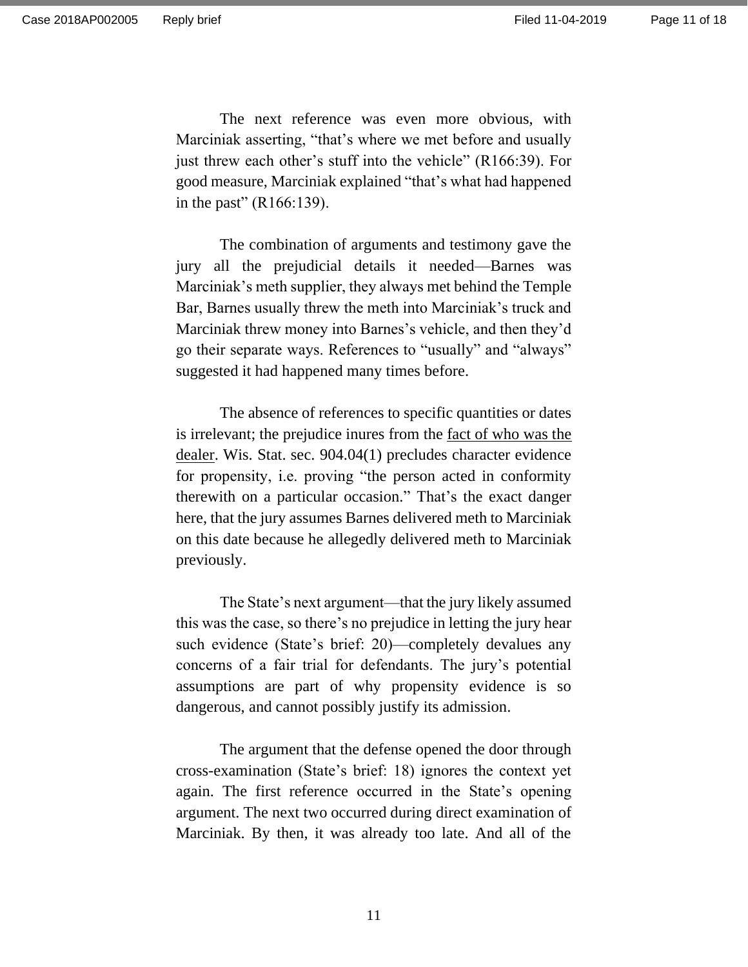The next reference was even more obvious, with Marciniak asserting, "that's where we met before and usually just threw each other's stuff into the vehicle" (R166:39). For good measure, Marciniak explained "that's what had happened in the past"  $(R166:139)$ .

The combination of arguments and testimony gave the jury all the prejudicial details it needed—Barnes was Marciniak's meth supplier, they always met behind the Temple Bar, Barnes usually threw the meth into Marciniak's truck and Marciniak threw money into Barnes's vehicle, and then they'd go their separate ways. References to "usually" and "always" suggested it had happened many times before.

The absence of references to specific quantities or dates is irrelevant; the prejudice inures from the fact of who was the dealer. Wis. Stat. sec. 904.04(1) precludes character evidence for propensity, i.e. proving "the person acted in conformity therewith on a particular occasion." That's the exact danger here, that the jury assumes Barnes delivered meth to Marciniak on this date because he allegedly delivered meth to Marciniak previously.

The State's next argument—that the jury likely assumed this was the case, so there's no prejudice in letting the jury hear such evidence (State's brief: 20)—completely devalues any concerns of a fair trial for defendants. The jury's potential assumptions are part of why propensity evidence is so dangerous, and cannot possibly justify its admission.

The argument that the defense opened the door through cross-examination (State's brief: 18) ignores the context yet again. The first reference occurred in the State's opening argument. The next two occurred during direct examination of Marciniak. By then, it was already too late. And all of the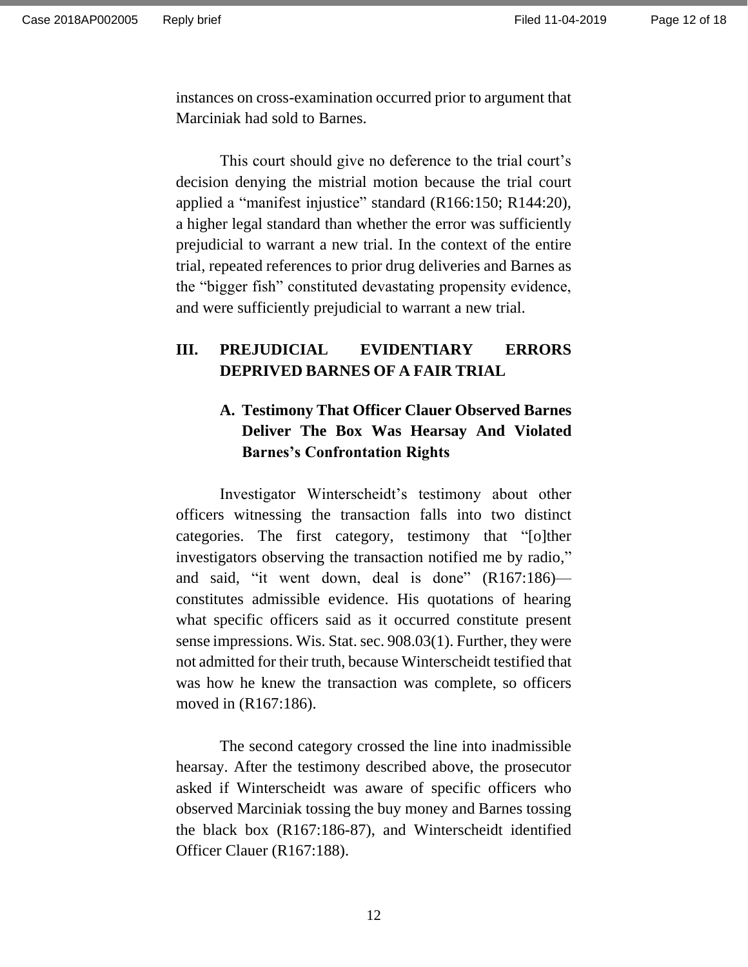instances on cross-examination occurred prior to argument that Marciniak had sold to Barnes.

This court should give no deference to the trial court's decision denying the mistrial motion because the trial court applied a "manifest injustice" standard (R166:150; R144:20), a higher legal standard than whether the error was sufficiently prejudicial to warrant a new trial. In the context of the entire trial, repeated references to prior drug deliveries and Barnes as the "bigger fish" constituted devastating propensity evidence, and were sufficiently prejudicial to warrant a new trial.

# **III. PREJUDICIAL EVIDENTIARY ERRORS DEPRIVED BARNES OF A FAIR TRIAL**

# **A. Testimony That Officer Clauer Observed Barnes Deliver The Box Was Hearsay And Violated Barnes's Confrontation Rights**

Investigator Winterscheidt's testimony about other officers witnessing the transaction falls into two distinct categories. The first category, testimony that "[o]ther investigators observing the transaction notified me by radio," and said, "it went down, deal is done" (R167:186) constitutes admissible evidence. His quotations of hearing what specific officers said as it occurred constitute present sense impressions. Wis. Stat. sec. 908.03(1). Further, they were not admitted for their truth, because Winterscheidt testified that was how he knew the transaction was complete, so officers moved in (R167:186).

The second category crossed the line into inadmissible hearsay. After the testimony described above, the prosecutor asked if Winterscheidt was aware of specific officers who observed Marciniak tossing the buy money and Barnes tossing the black box (R167:186-87), and Winterscheidt identified Officer Clauer (R167:188).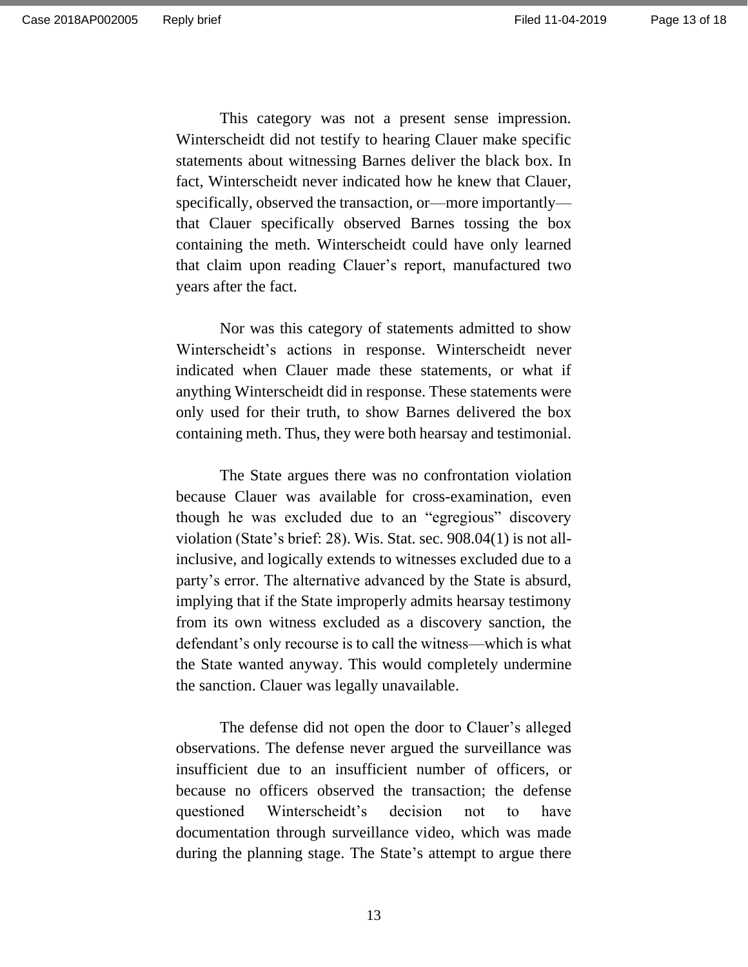This category was not a present sense impression. Winterscheidt did not testify to hearing Clauer make specific statements about witnessing Barnes deliver the black box. In fact, Winterscheidt never indicated how he knew that Clauer, specifically, observed the transaction, or—more importantly that Clauer specifically observed Barnes tossing the box containing the meth. Winterscheidt could have only learned that claim upon reading Clauer's report, manufactured two years after the fact.

Nor was this category of statements admitted to show Winterscheidt's actions in response. Winterscheidt never indicated when Clauer made these statements, or what if anything Winterscheidt did in response. These statements were only used for their truth, to show Barnes delivered the box containing meth. Thus, they were both hearsay and testimonial.

The State argues there was no confrontation violation because Clauer was available for cross-examination, even though he was excluded due to an "egregious" discovery violation (State's brief: 28). Wis. Stat. sec. 908.04(1) is not allinclusive, and logically extends to witnesses excluded due to a party's error. The alternative advanced by the State is absurd, implying that if the State improperly admits hearsay testimony from its own witness excluded as a discovery sanction, the defendant's only recourse is to call the witness—which is what the State wanted anyway. This would completely undermine the sanction. Clauer was legally unavailable.

The defense did not open the door to Clauer's alleged observations. The defense never argued the surveillance was insufficient due to an insufficient number of officers, or because no officers observed the transaction; the defense questioned Winterscheidt's decision not to have documentation through surveillance video, which was made during the planning stage. The State's attempt to argue there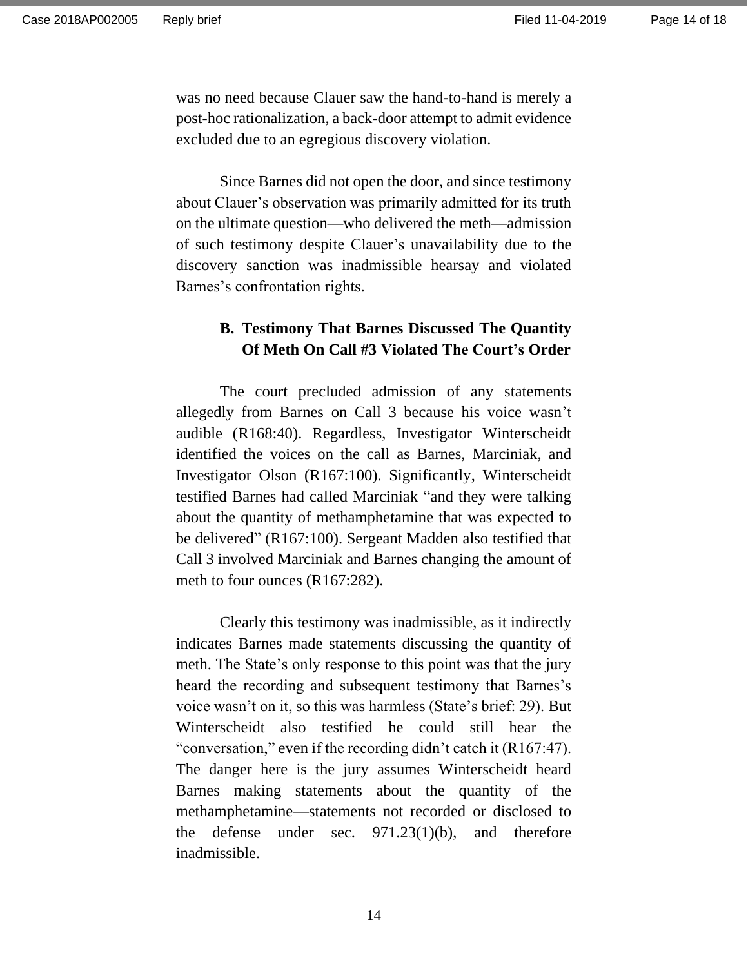was no need because Clauer saw the hand-to-hand is merely a post-hoc rationalization, a back-door attempt to admit evidence excluded due to an egregious discovery violation.

Since Barnes did not open the door, and since testimony about Clauer's observation was primarily admitted for its truth on the ultimate question—who delivered the meth—admission of such testimony despite Clauer's unavailability due to the discovery sanction was inadmissible hearsay and violated Barnes's confrontation rights.

# **B. Testimony That Barnes Discussed The Quantity Of Meth On Call #3 Violated The Court's Order**

The court precluded admission of any statements allegedly from Barnes on Call 3 because his voice wasn't audible (R168:40). Regardless, Investigator Winterscheidt identified the voices on the call as Barnes, Marciniak, and Investigator Olson (R167:100). Significantly, Winterscheidt testified Barnes had called Marciniak "and they were talking about the quantity of methamphetamine that was expected to be delivered" (R167:100). Sergeant Madden also testified that Call 3 involved Marciniak and Barnes changing the amount of meth to four ounces (R167:282).

Clearly this testimony was inadmissible, as it indirectly indicates Barnes made statements discussing the quantity of meth. The State's only response to this point was that the jury heard the recording and subsequent testimony that Barnes's voice wasn't on it, so this was harmless (State's brief: 29). But Winterscheidt also testified he could still hear the "conversation," even if the recording didn't catch it (R167:47). The danger here is the jury assumes Winterscheidt heard Barnes making statements about the quantity of the methamphetamine—statements not recorded or disclosed to the defense under sec. 971.23(1)(b), and therefore inadmissible.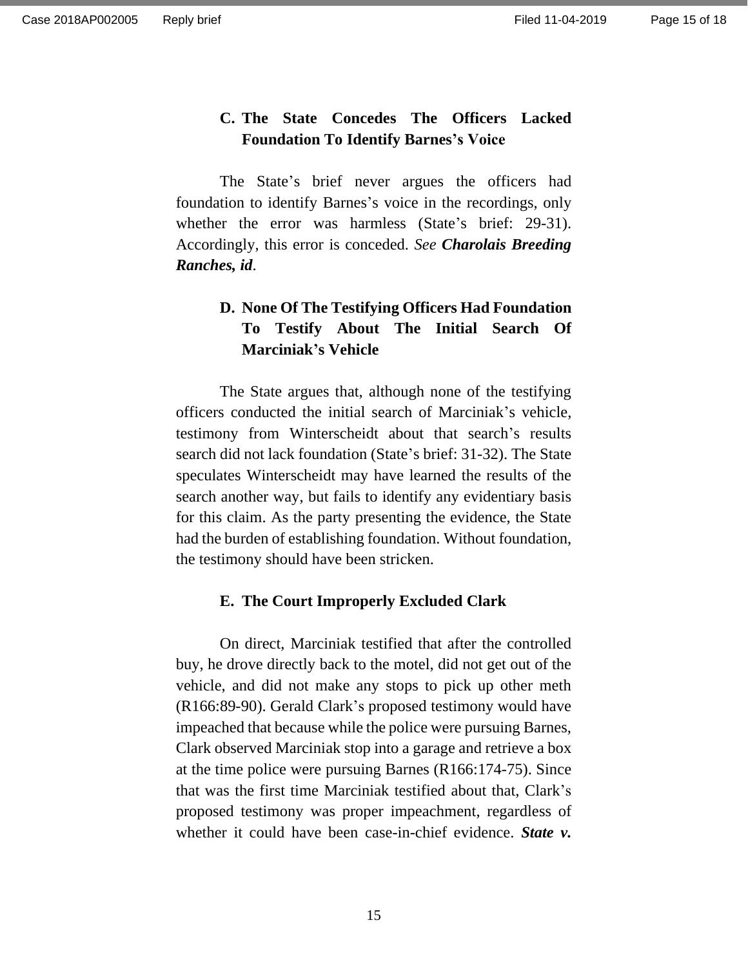Page 15 of 18

# **C. The State Concedes The Officers Lacked Foundation To Identify Barnes's Voice**

The State's brief never argues the officers had foundation to identify Barnes's voice in the recordings, only whether the error was harmless (State's brief: 29-31). Accordingly, this error is conceded. *See Charolais Breeding Ranches, id*.

# **D. None Of The Testifying Officers Had Foundation To Testify About The Initial Search Of Marciniak's Vehicle**

The State argues that, although none of the testifying officers conducted the initial search of Marciniak's vehicle, testimony from Winterscheidt about that search's results search did not lack foundation (State's brief: 31-32). The State speculates Winterscheidt may have learned the results of the search another way, but fails to identify any evidentiary basis for this claim. As the party presenting the evidence, the State had the burden of establishing foundation. Without foundation, the testimony should have been stricken.

#### **E. The Court Improperly Excluded Clark**

On direct, Marciniak testified that after the controlled buy, he drove directly back to the motel, did not get out of the vehicle, and did not make any stops to pick up other meth (R166:89-90). Gerald Clark's proposed testimony would have impeached that because while the police were pursuing Barnes, Clark observed Marciniak stop into a garage and retrieve a box at the time police were pursuing Barnes (R166:174-75). Since that was the first time Marciniak testified about that, Clark's proposed testimony was proper impeachment, regardless of whether it could have been case-in-chief evidence. *State v.*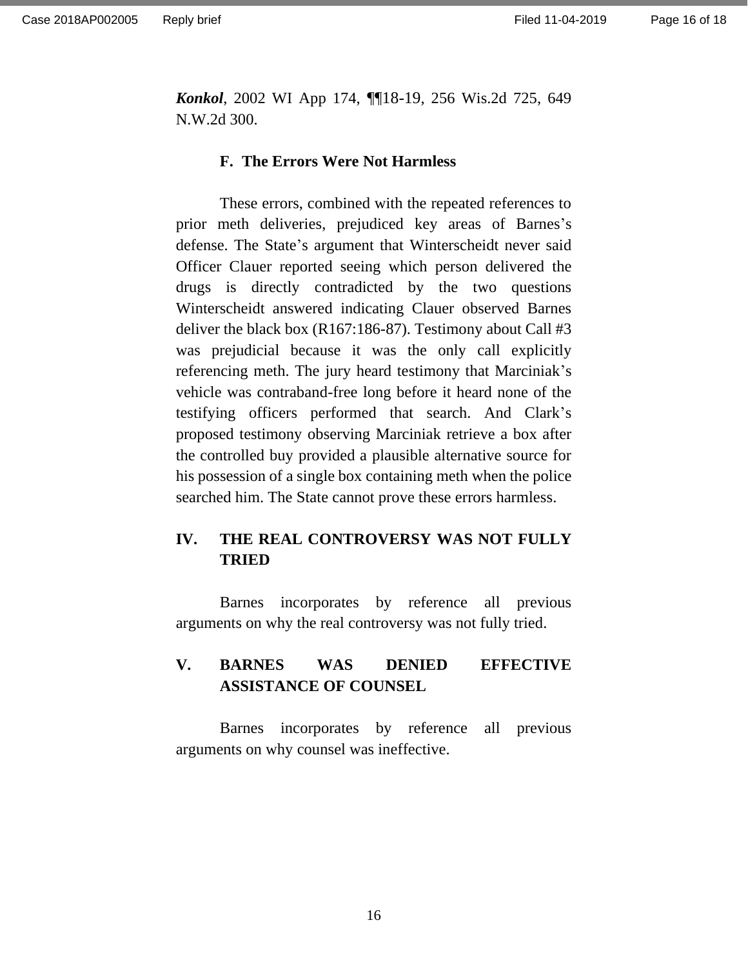*Konkol*, 2002 WI App 174, ¶¶18-19, 256 Wis.2d 725, 649 N.W.2d 300.

#### **F. The Errors Were Not Harmless**

These errors, combined with the repeated references to prior meth deliveries, prejudiced key areas of Barnes's defense. The State's argument that Winterscheidt never said Officer Clauer reported seeing which person delivered the drugs is directly contradicted by the two questions Winterscheidt answered indicating Clauer observed Barnes deliver the black box (R167:186-87). Testimony about Call #3 was prejudicial because it was the only call explicitly referencing meth. The jury heard testimony that Marciniak's vehicle was contraband-free long before it heard none of the testifying officers performed that search. And Clark's proposed testimony observing Marciniak retrieve a box after the controlled buy provided a plausible alternative source for his possession of a single box containing meth when the police searched him. The State cannot prove these errors harmless.

# **IV. THE REAL CONTROVERSY WAS NOT FULLY TRIED**

Barnes incorporates by reference all previous arguments on why the real controversy was not fully tried.

# **V. BARNES WAS DENIED EFFECTIVE ASSISTANCE OF COUNSEL**

Barnes incorporates by reference all previous arguments on why counsel was ineffective.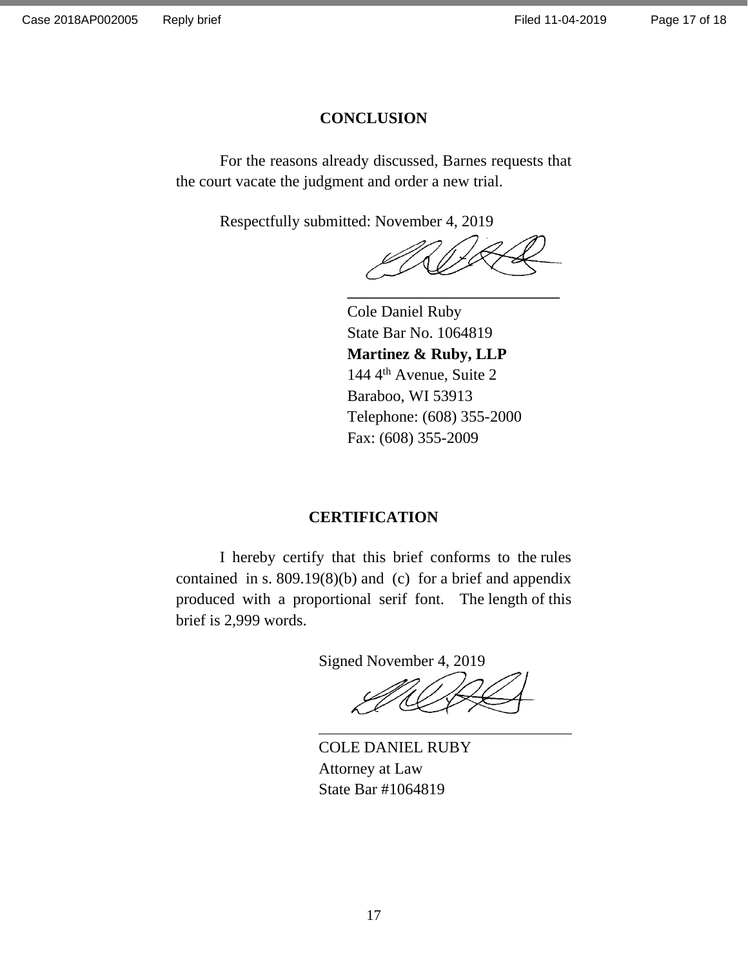## **CONCLUSION**

For the reasons already discussed, Barnes requests that the court vacate the judgment and order a new trial.

Respectfully submitted: November 4, 2019

**\_\_\_\_\_\_\_\_\_\_\_\_\_\_\_\_\_\_\_\_\_\_\_\_\_\_\_\_\_**

Cole Daniel Ruby State Bar No. 1064819 **Martinez & Ruby, LLP** 144 4th Avenue, Suite 2 Baraboo, WI 53913 Telephone: (608) 355-2000 Fax: (608) 355-2009

## **CERTIFICATION**

I hereby certify that this brief conforms to the rules contained in s. 809.19(8)(b) and (c) for a brief and appendix produced with a proportional serif font. The length of this brief is 2,999 words.

Signed November 4, 2019

COLE DANIEL RUBY Attorney at Law State Bar #1064819